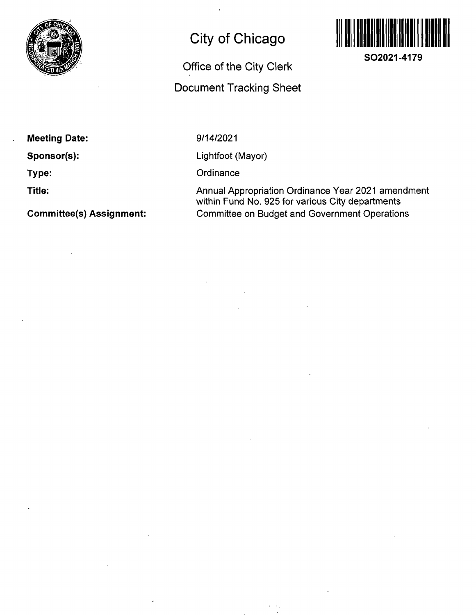

## **City of Chicago**

## Office of the City Clerk Document Tracking Sheet



**SO2021-4179** 

**Meeting Date:** 

**Sponsor(s):** 

**Type:** 

**Title:** 

**Committee(s) Assignment:** 

9/14/2021

Lightfoot (Mayor)

**Ordinance** 

Annual Appropriation Ordinance Year 2021 amendment within Fund No. 925 for various City departments Committee on Budget and Government Operations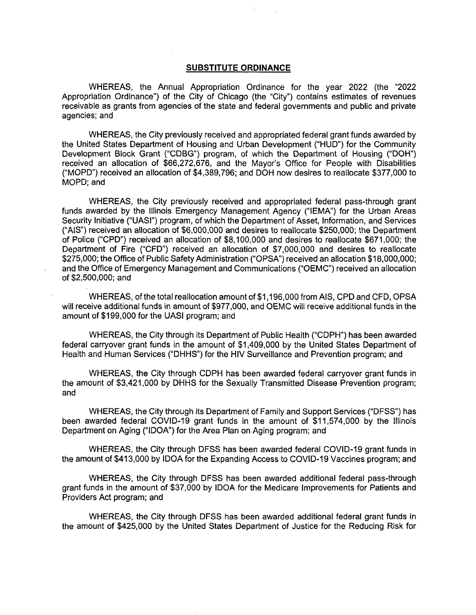## **SUBSTITUTE ORDINANCE**

WHEREAS, the Annual Appropriation Ordinance for the year 2022 (the "2022 Appropriation Ordinance") of the City of Chicago (the "City") contains estimates of revenues receivable as grants from agencies of the state and federal governments and public and private agencies; and

WHEREAS, the City previously received and appropriated federal grant funds awarded by the United States Department of Housing and Urban Development ("HUD") for the Community Development Block Grant ("CDBG") program, of which the Department of Housing ("DOH") received an allocation of \$66,272,676, and the Mayor's Office for People with Disabilities ("MOPD") received an allocation of \$4,389,796; and DOH now desires to reallocate \$377,000 to MOPD; and

WHEREAS, the City previously received and appropriated federal pass-through grant funds awarded by the Illinois Emergency Management Agency ("lEMA") for the Urban Areas Security Initiative ("UASI") program, of which the Department of Asset, Information, and Services ("AIS") received an allocation of \$6,000,000 and desires to reallocate \$250,000; the Department of Police ("CPD") received an allocation of \$8,100,000 and desires to reallocate \$671,000; the Department of Fire ("CFD") received an allocation of \$7,000,000 and desires to reallocate \$275,000; the Office of Public Safety Administration ("OPSA") received an allocation \$18,000,000; and the Office of Emergency Management and Communications ("OEMC") received an allocation of \$2,500,000; and

WHEREAS, ofthe total reallocation amount of \$1,196,000 from AIS, CPD and CFD, OPSA will receive additional funds in amount of \$977,000, and OEMC will receive additional funds in the amount of \$199,000 for the UASI program; and

WHEREAS, the City through its Department of Public Health ("CDPH") has been awarded federal carryover grant funds in the amount of \$1,409,000 by the United States Department of Health and Human Services ("DHHS") for the HIV Surveillance and Prevention program; and

WHEREAS, the City through CDPH has been awarded federal carryover grant funds in the amount of \$3,421,000 by DHHS for the Sexually Transmitted Disease Prevention program; and

WHEREAS, the City through its Department of Family and Support Services ("DFSS") has been awarded federal COVID-19 grant funds in the amount of \$11,574,000 by the Illinois Department on Aging ("IDOA") for the Area Plan on Aging program; and

WHEREAS, the City through DFSS has been awarded federal COVID-19 grant funds in the amount of \$413,000 by IDOA for the Expanding Access to COVID-19 Vaccines program; and

WHEREAS, the City through DFSS has been awarded additional federal pass-through grant funds in the amount of \$37,000 by IDOA for the Medicare Improvements for Patients and Providers Act program; and

WHEREAS, the City through DFSS has been awarded additional federal grant funds in the amount of \$425,000 by the United States Department of Justice for the Reducing Risk for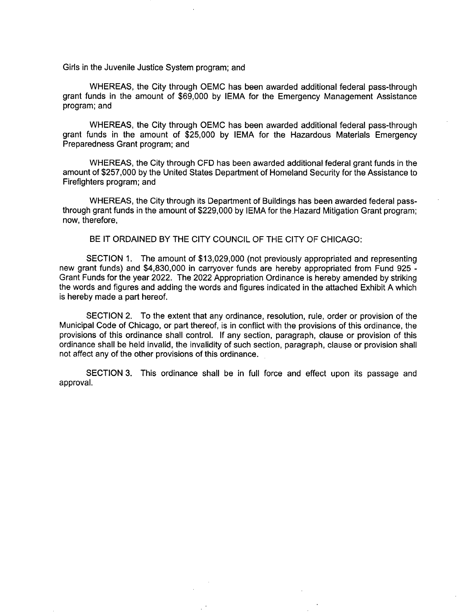Girls in the Juvenile Justice System program; and

WHEREAS, the City through OEMC has been awarded additional federal pass-through grant funds in the amount of \$69,000 by lEMA for the Emergency Management Assistance program; and

WHEREAS, the City through OEMC has been awarded additional federal pass-through grant funds in the amount of \$25,000 by lEMA for the Hazardous Materials Emergency Preparedness Grant program; and

WHEREAS, the City through CFD has been awarded additional federal grant funds in the amount of \$257,000 by the United States Department of Homeland Security for the Assistance to Firefighters program; and

WHEREAS, the City through its Department of Buildings has been awarded federal passthrough grant funds in the amount of \$229,000 by lEMA for the Hazard Mitigation Grant program; now, therefore,

BE IT ORDAINED BY THE CITY COUNCIL OF THE CITY OF CHICAGO:

SECTION 1. The amount of \$13,029,000 (not previously appropriated and representing new grant funds) and \$4,830,000 in carryover funds are hereby appropriated from Fund 925 - Grant Funds for the year 2022. The 2022 Appropriation Ordinance is hereby amended by striking the words and figures and adding the words and figures indicated in the attached Exhibit A which is hereby made a part hereof.

SECTION 2. To the extent that any ordinance, resolution, rule, order or provision of the Municipal Code of Chicago, or part thereof, is in conflict with the provisions of this ordinance, the provisions of this ordinance shall control. If any section, paragraph, clause or provision of this ordinance shall be held invalid, the invalidity of such section, paragraph, clause or provision shall not affect any of the other provisions of this ordinance.

SECTION 3. This ordinance shall be in full force and effect upon its passage and approval.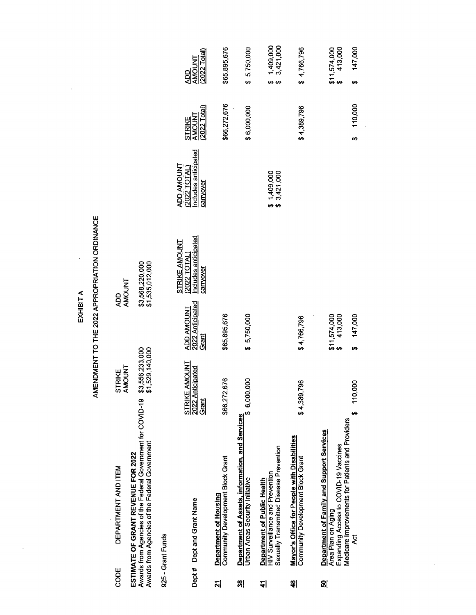EXHIBIT A

 $\hat{\mathcal{L}}$ 

 $\ddot{\phantom{0}}$ 

 $\hat{\mathcal{A}}$ 

## AMENDMENT TO THE 2022 APPROPRIATION ORDINANCE

| CODE                    | DEPARTMENT AND ITEM                                    | STRIKE          | ad<br>S        |
|-------------------------|--------------------------------------------------------|-----------------|----------------|
|                         |                                                        | <b>INOUNT</b>   | <b>INONY</b>   |
| ESTIMATE OF GRANT       | <b>FREVENUE FOR 2022</b>                               |                 |                |
| Awards from Agencies c' | of the Federal Government for COVID-19 \$3,556,233,000 |                 | 63,568,220,000 |
| Awards from Agencies    | of the Federal Government                              | \$1,529,140,000 | 1,535,012,000  |
|                         |                                                        |                 |                |
| היה היהודי במ           |                                                        |                 |                |

925 - Grant Funds

|    | Dept# Dept and Grant Name                                                                                                                                    | <b>STRIKE AMOUNT</b><br>2022 Anticipated<br>Grant | 2022 Anticipated<br>Grant<br><b>ADD AMOUNT</b> | <b>Includes anticipated</b><br>carryover<br>STRIKE AMOUNT<br>(2022 TOTAL) | Includes anticipated<br>ADD AMOUNT<br>(2022 TOTAL)<br>carryover | <b>STRIKE</b><br>AMOUNT<br>(2022 Total) | $\frac{\text{ADD}}{\text{AMOLMI}}$<br>$\frac{\text{AMOLMI}}{\text{2022 Total}}$ |
|----|--------------------------------------------------------------------------------------------------------------------------------------------------------------|---------------------------------------------------|------------------------------------------------|---------------------------------------------------------------------------|-----------------------------------------------------------------|-----------------------------------------|---------------------------------------------------------------------------------|
| 외  | Community Development Block Grant<br>Department of Housing                                                                                                   | \$66,272,676                                      | \$65,895,676                                   |                                                                           |                                                                 | \$66,272,676                            | \$65,895,676                                                                    |
| ၛႄ | Department of Assets, information, and Services<br>Urban Areas Security Initiative                                                                           | \$6,000,000                                       | \$5,750,000                                    |                                                                           |                                                                 | \$6,000,000                             | \$5,750,000                                                                     |
| 싀  | Sexually Transmitted Disease Prevention<br>HIV Surveillance and Prevention<br>Department of Public Health                                                    |                                                   |                                                |                                                                           | \$1,409,000<br>\$3,421,000                                      |                                         | $$1,409,000$<br>$$3,421,000$                                                    |
| ╣  | Mayor's Office for People with Disabilities<br>Community Development Block Grant                                                                             | \$4,389,796                                       | \$4,766,796                                    |                                                                           |                                                                 | \$4,389,796                             | \$4,766,796                                                                     |
| ၛၟ | Medicare Improvements for Patients and Providers<br>Department of Family and Support Services<br>Expanding Access to COVID-19 Vaccines<br>Area Plan on Aging |                                                   | \$11,574,000<br>\$413,000                      |                                                                           |                                                                 |                                         | $$11,574,000$<br>$$413,000$                                                     |
|    | হূ                                                                                                                                                           | 110,000<br>G,                                     | 147,000<br>မာ                                  |                                                                           |                                                                 | 110,000                                 | 147,000                                                                         |

 $\frac{1}{2}$ 

 $\hat{\boldsymbol{\tau}}$